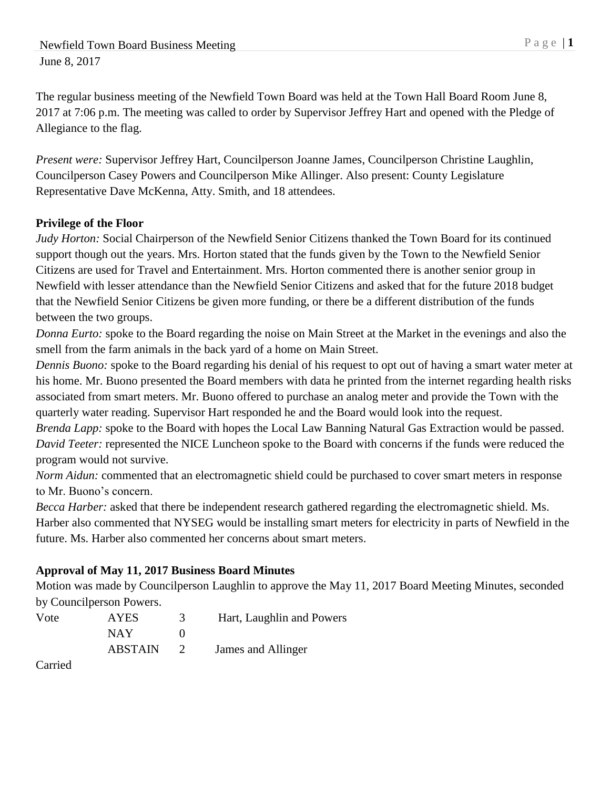Newfield Town Board Business Meeting P a g e | 1 June 8, 2017

The regular business meeting of the Newfield Town Board was held at the Town Hall Board Room June 8, 2017 at 7:06 p.m. The meeting was called to order by Supervisor Jeffrey Hart and opened with the Pledge of Allegiance to the flag.

*Present were:* Supervisor Jeffrey Hart, Councilperson Joanne James, Councilperson Christine Laughlin, Councilperson Casey Powers and Councilperson Mike Allinger. Also present: County Legislature Representative Dave McKenna, Atty. Smith, and 18 attendees.

# **Privilege of the Floor**

*Judy Horton:* Social Chairperson of the Newfield Senior Citizens thanked the Town Board for its continued support though out the years. Mrs. Horton stated that the funds given by the Town to the Newfield Senior Citizens are used for Travel and Entertainment. Mrs. Horton commented there is another senior group in Newfield with lesser attendance than the Newfield Senior Citizens and asked that for the future 2018 budget that the Newfield Senior Citizens be given more funding, or there be a different distribution of the funds between the two groups.

*Donna Eurto:* spoke to the Board regarding the noise on Main Street at the Market in the evenings and also the smell from the farm animals in the back yard of a home on Main Street.

*Dennis Buono:* spoke to the Board regarding his denial of his request to opt out of having a smart water meter at his home. Mr. Buono presented the Board members with data he printed from the internet regarding health risks associated from smart meters. Mr. Buono offered to purchase an analog meter and provide the Town with the quarterly water reading. Supervisor Hart responded he and the Board would look into the request.

*Brenda Lapp:* spoke to the Board with hopes the Local Law Banning Natural Gas Extraction would be passed. *David Teeter:* represented the NICE Luncheon spoke to the Board with concerns if the funds were reduced the program would not survive.

*Norm Aidun:* commented that an electromagnetic shield could be purchased to cover smart meters in response to Mr. Buono's concern.

*Becca Harber:* asked that there be independent research gathered regarding the electromagnetic shield. Ms. Harber also commented that NYSEG would be installing smart meters for electricity in parts of Newfield in the future. Ms. Harber also commented her concerns about smart meters.

#### **Approval of May 11, 2017 Business Board Minutes**

Motion was made by Councilperson Laughlin to approve the May 11, 2017 Board Meeting Minutes, seconded by Councilperson Powers.

| Vote | <b>AYES</b>    | Hart, Laughlin and Powers |
|------|----------------|---------------------------|
|      | NAY.           |                           |
|      | <b>ABSTAIN</b> | James and Allinger        |

Carried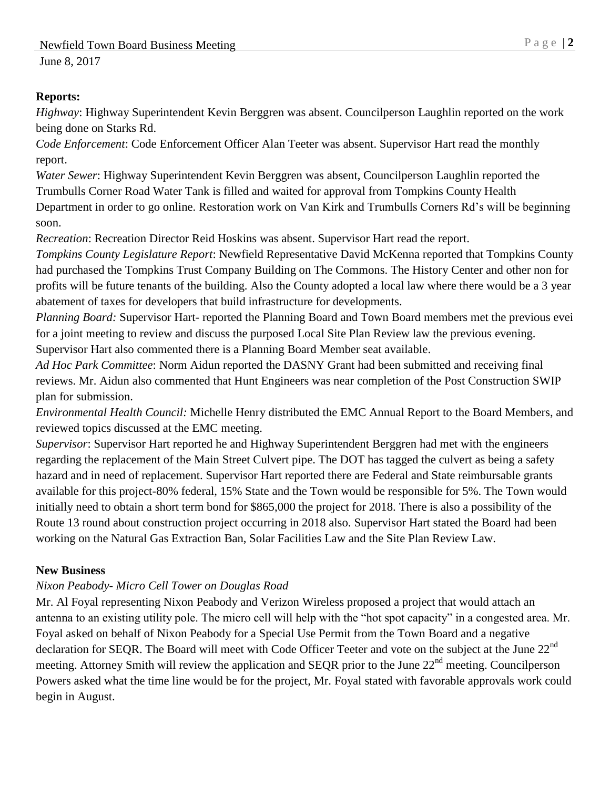## **Reports:**

*Highway*: Highway Superintendent Kevin Berggren was absent. Councilperson Laughlin reported on the work being done on Starks Rd.

*Code Enforcement*: Code Enforcement Officer Alan Teeter was absent. Supervisor Hart read the monthly report.

*Water Sewer*: Highway Superintendent Kevin Berggren was absent, Councilperson Laughlin reported the Trumbulls Corner Road Water Tank is filled and waited for approval from Tompkins County Health Department in order to go online. Restoration work on Van Kirk and Trumbulls Corners Rd's will be beginning soon.

*Recreation*: Recreation Director Reid Hoskins was absent. Supervisor Hart read the report.

*Tompkins County Legislature Report*: Newfield Representative David McKenna reported that Tompkins County had purchased the Tompkins Trust Company Building on The Commons. The History Center and other non for profits will be future tenants of the building. Also the County adopted a local law where there would be a 3 year abatement of taxes for developers that build infrastructure for developments.

*Planning Board:* Supervisor Hart- reported the Planning Board and Town Board members met the previous evei for a joint meeting to review and discuss the purposed Local Site Plan Review law the previous evening. Supervisor Hart also commented there is a Planning Board Member seat available.

*Ad Hoc Park Committee*: Norm Aidun reported the DASNY Grant had been submitted and receiving final reviews. Mr. Aidun also commented that Hunt Engineers was near completion of the Post Construction SWIP plan for submission.

*Environmental Health Council:* Michelle Henry distributed the EMC Annual Report to the Board Members, and reviewed topics discussed at the EMC meeting.

*Supervisor*: Supervisor Hart reported he and Highway Superintendent Berggren had met with the engineers regarding the replacement of the Main Street Culvert pipe. The DOT has tagged the culvert as being a safety hazard and in need of replacement. Supervisor Hart reported there are Federal and State reimbursable grants available for this project-80% federal, 15% State and the Town would be responsible for 5%. The Town would initially need to obtain a short term bond for \$865,000 the project for 2018. There is also a possibility of the Route 13 round about construction project occurring in 2018 also. Supervisor Hart stated the Board had been working on the Natural Gas Extraction Ban, Solar Facilities Law and the Site Plan Review Law.

# **New Business**

# *Nixon Peabody- Micro Cell Tower on Douglas Road*

Mr. Al Foyal representing Nixon Peabody and Verizon Wireless proposed a project that would attach an antenna to an existing utility pole. The micro cell will help with the "hot spot capacity" in a congested area. Mr. Foyal asked on behalf of Nixon Peabody for a Special Use Permit from the Town Board and a negative declaration for SEQR. The Board will meet with Code Officer Teeter and vote on the subject at the June 22<sup>nd</sup> meeting. Attorney Smith will review the application and SEQR prior to the June 22<sup>nd</sup> meeting. Councilperson Powers asked what the time line would be for the project, Mr. Foyal stated with favorable approvals work could begin in August.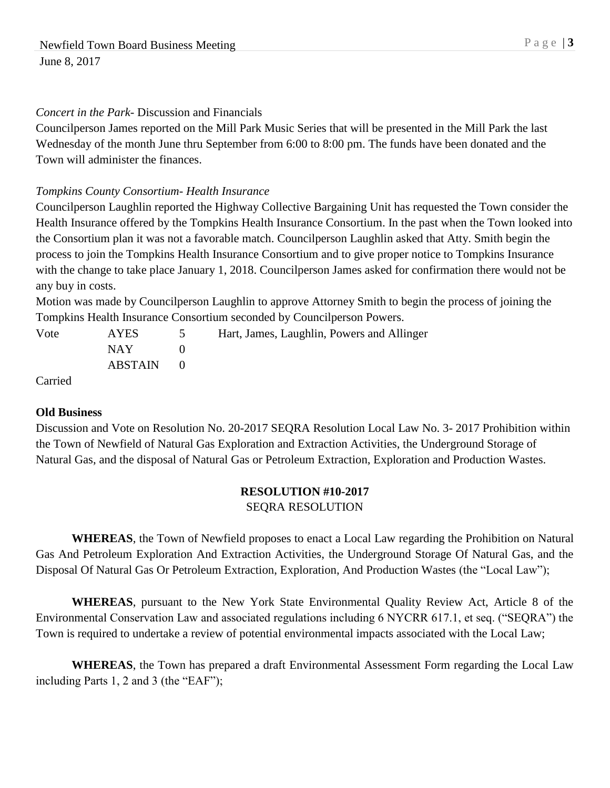## *Concert in the Park-* Discussion and Financials

Councilperson James reported on the Mill Park Music Series that will be presented in the Mill Park the last Wednesday of the month June thru September from 6:00 to 8:00 pm. The funds have been donated and the Town will administer the finances.

## *Tompkins County Consortium- Health Insurance*

Councilperson Laughlin reported the Highway Collective Bargaining Unit has requested the Town consider the Health Insurance offered by the Tompkins Health Insurance Consortium. In the past when the Town looked into the Consortium plan it was not a favorable match. Councilperson Laughlin asked that Atty. Smith begin the process to join the Tompkins Health Insurance Consortium and to give proper notice to Tompkins Insurance with the change to take place January 1, 2018. Councilperson James asked for confirmation there would not be any buy in costs.

Motion was made by Councilperson Laughlin to approve Attorney Smith to begin the process of joining the Tompkins Health Insurance Consortium seconded by Councilperson Powers.

| Vote            | <b>AYES</b>                  | Hart, James, Laughlin, Powers and Allinger |
|-----------------|------------------------------|--------------------------------------------|
|                 | NAY NATIONAL SEPTEMBER 1997. |                                            |
|                 | ABSTAIN                      |                                            |
| $\sim$ $\sim$ 1 |                              |                                            |

Carried

#### **Old Business**

Discussion and Vote on Resolution No. 20-2017 SEQRA Resolution Local Law No. 3- 2017 Prohibition within the Town of Newfield of Natural Gas Exploration and Extraction Activities, the Underground Storage of Natural Gas, and the disposal of Natural Gas or Petroleum Extraction, Exploration and Production Wastes.

# **RESOLUTION #10-2017**

SEQRA RESOLUTION

**WHEREAS**, the Town of Newfield proposes to enact a Local Law regarding the Prohibition on Natural Gas And Petroleum Exploration And Extraction Activities, the Underground Storage Of Natural Gas, and the Disposal Of Natural Gas Or Petroleum Extraction, Exploration, And Production Wastes (the "Local Law");

**WHEREAS**, pursuant to the New York State Environmental Quality Review Act, Article 8 of the Environmental Conservation Law and associated regulations including 6 NYCRR 617.1, et seq. ("SEQRA") the Town is required to undertake a review of potential environmental impacts associated with the Local Law;

**WHEREAS**, the Town has prepared a draft Environmental Assessment Form regarding the Local Law including Parts 1, 2 and 3 (the "EAF");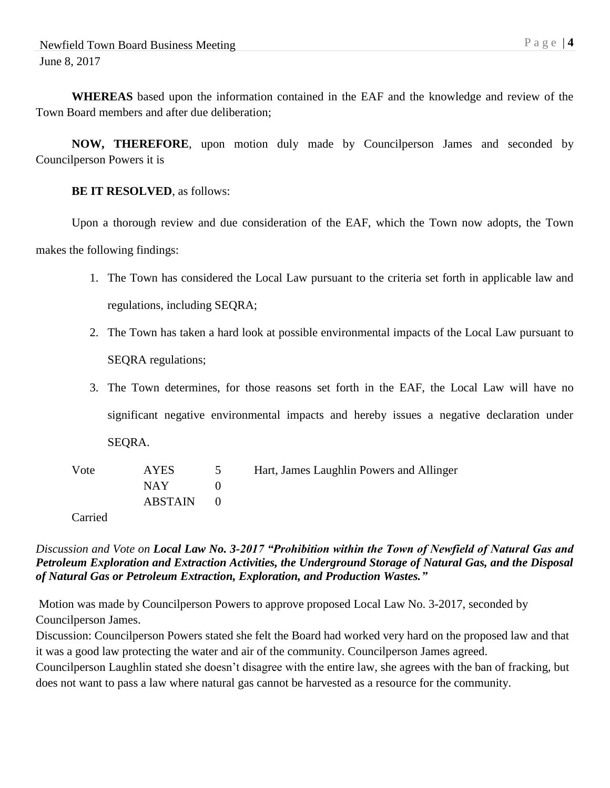**WHEREAS** based upon the information contained in the EAF and the knowledge and review of the Town Board members and after due deliberation;

**NOW, THEREFORE**, upon motion duly made by Councilperson James and seconded by Councilperson Powers it is

#### **BE IT RESOLVED**, as follows:

Upon a thorough review and due consideration of the EAF, which the Town now adopts, the Town makes the following findings:

- 1. The Town has considered the Local Law pursuant to the criteria set forth in applicable law and regulations, including SEQRA;
- 2. The Town has taken a hard look at possible environmental impacts of the Local Law pursuant to SEQRA regulations;
- 3. The Town determines, for those reasons set forth in the EAF, the Local Law will have no significant negative environmental impacts and hereby issues a negative declaration under SEQRA.

| Vote | <b>AYES</b> | Hart, James Laughlin Powers and Allinger |
|------|-------------|------------------------------------------|
|      | NAY 1       |                                          |
|      | ABSTAIN 0   |                                          |

Carried

## *Discussion and Vote on Local Law No. 3-2017 "Prohibition within the Town of Newfield of Natural Gas and Petroleum Exploration and Extraction Activities, the Underground Storage of Natural Gas, and the Disposal of Natural Gas or Petroleum Extraction, Exploration, and Production Wastes."*

Motion was made by Councilperson Powers to approve proposed Local Law No. 3-2017, seconded by Councilperson James.

Discussion: Councilperson Powers stated she felt the Board had worked very hard on the proposed law and that it was a good law protecting the water and air of the community. Councilperson James agreed.

Councilperson Laughlin stated she doesn't disagree with the entire law, she agrees with the ban of fracking, but does not want to pass a law where natural gas cannot be harvested as a resource for the community.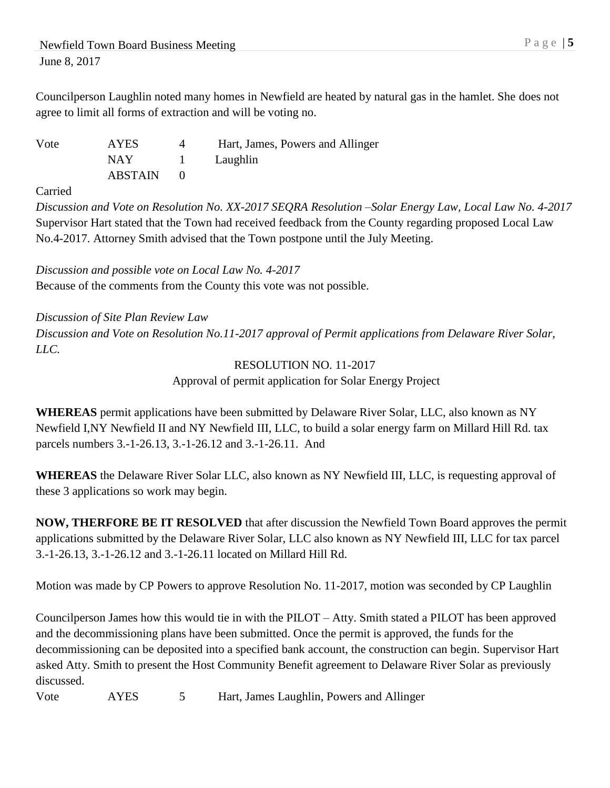Councilperson Laughlin noted many homes in Newfield are heated by natural gas in the hamlet. She does not agree to limit all forms of extraction and will be voting no.

Vote AYES 4 Hart, James, Powers and Allinger NAY 1 Laughlin ABSTAIN 0

Carried

*Discussion and Vote on Resolution No. XX-2017 SEQRA Resolution –Solar Energy Law, Local Law No. 4-2017* Supervisor Hart stated that the Town had received feedback from the County regarding proposed Local Law No.4-2017. Attorney Smith advised that the Town postpone until the July Meeting.

*Discussion and possible vote on Local Law No. 4-2017* Because of the comments from the County this vote was not possible.

*Discussion of Site Plan Review Law Discussion and Vote on Resolution No.11-2017 approval of Permit applications from Delaware River Solar, LLC.*

> RESOLUTION NO. 11-2017 Approval of permit application for Solar Energy Project

**WHEREAS** permit applications have been submitted by Delaware River Solar, LLC, also known as NY Newfield I,NY Newfield II and NY Newfield III, LLC, to build a solar energy farm on Millard Hill Rd. tax parcels numbers 3.-1-26.13, 3.-1-26.12 and 3.-1-26.11. And

**WHEREAS** the Delaware River Solar LLC, also known as NY Newfield III, LLC, is requesting approval of these 3 applications so work may begin.

**NOW, THERFORE BE IT RESOLVED** that after discussion the Newfield Town Board approves the permit applications submitted by the Delaware River Solar, LLC also known as NY Newfield III, LLC for tax parcel 3.-1-26.13, 3.-1-26.12 and 3.-1-26.11 located on Millard Hill Rd.

Motion was made by CP Powers to approve Resolution No. 11-2017, motion was seconded by CP Laughlin

Councilperson James how this would tie in with the PILOT – Atty. Smith stated a PILOT has been approved and the decommissioning plans have been submitted. Once the permit is approved, the funds for the decommissioning can be deposited into a specified bank account, the construction can begin. Supervisor Hart asked Atty. Smith to present the Host Community Benefit agreement to Delaware River Solar as previously discussed.

Vote AYES 5 Hart, James Laughlin, Powers and Allinger